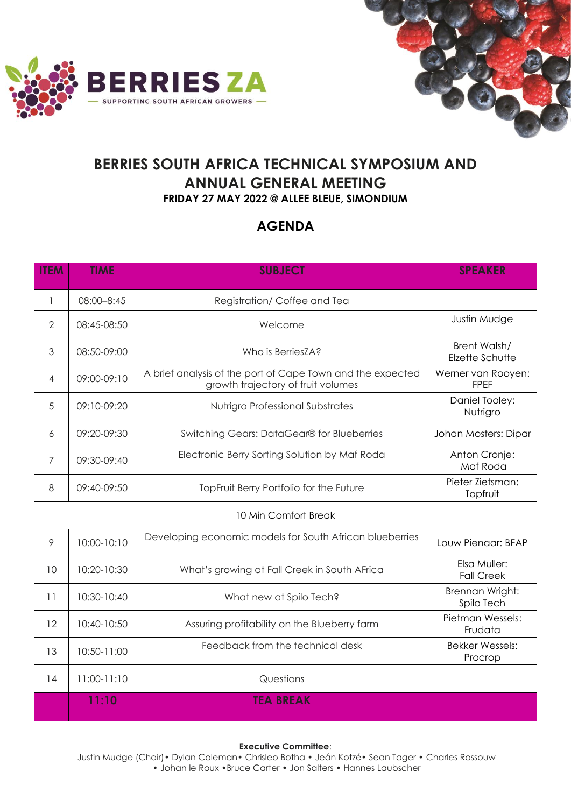



## **BERRIES SOUTH AFRICA TECHNICAL SYMPOSIUM AND ANNUAL GENERAL MEETING FRIDAY 27 MAY 2022 @ ALLEE BLEUE, SIMONDIUM**

## **AGENDA**

| <b>ITEM</b>          | <b>TIME</b> | <b>SUBJECT</b>                                                                                   | <b>SPEAKER</b>                    |  |
|----------------------|-------------|--------------------------------------------------------------------------------------------------|-----------------------------------|--|
| 1                    | 08:00-8:45  | Registration/Coffee and Tea                                                                      |                                   |  |
| $\mathbf{2}$         | 08:45-08:50 | Welcome                                                                                          | Justin Mudge                      |  |
| 3                    | 08:50-09:00 | Who is BerriesZA?                                                                                | Brent Walsh/<br>Elzette Schutte   |  |
| 4                    | 09:00-09:10 | A brief analysis of the port of Cape Town and the expected<br>growth trajectory of fruit volumes | Werner van Rooyen:<br><b>FPEF</b> |  |
| 5                    | 09:10-09:20 | Nutrigro Professional Substrates                                                                 | Daniel Tooley:<br>Nutrigro        |  |
| 6                    | 09:20-09:30 | Switching Gears: DataGear® for Blueberries                                                       | Johan Mosters: Dipar              |  |
| 7                    | 09:30-09:40 | Electronic Berry Sorting Solution by Maf Roda                                                    | Anton Cronje:<br>Maf Roda         |  |
| 8                    | 09:40-09:50 | TopFruit Berry Portfolio for the Future                                                          | Pieter Zietsman:<br>Topfruit      |  |
| 10 Min Comfort Break |             |                                                                                                  |                                   |  |
| 9                    | 10:00-10:10 | Developing economic models for South African blueberries                                         | Louw Pienaar: BFAP                |  |
| 10                   | 10:20-10:30 | What's growing at Fall Creek in South AFrica                                                     | Elsa Muller:<br><b>Fall Creek</b> |  |
| 11                   | 10:30-10:40 | What new at Spilo Tech?                                                                          | Brennan Wright:<br>Spilo Tech     |  |
| 12                   | 10:40-10:50 | Assuring profitability on the Blueberry farm                                                     | Pietman Wessels:<br>Frudata       |  |
| 13                   | 10:50-11:00 | Feedback from the technical desk                                                                 | <b>Bekker Wessels:</b><br>Procrop |  |
| 14                   | 11:00-11:10 | Questions                                                                                        |                                   |  |
|                      | 11:10       | <b>TEA BREAK</b>                                                                                 |                                   |  |

**Executive Committee**:

Justin Mudge (Chair) • Dylan Coleman • Chrisleo Botha • Jeán Kotzé • Sean Tager • Charles Rossouw • Johan le Roux •Bruce Carter • Jon Salters • Hannes Laubscher